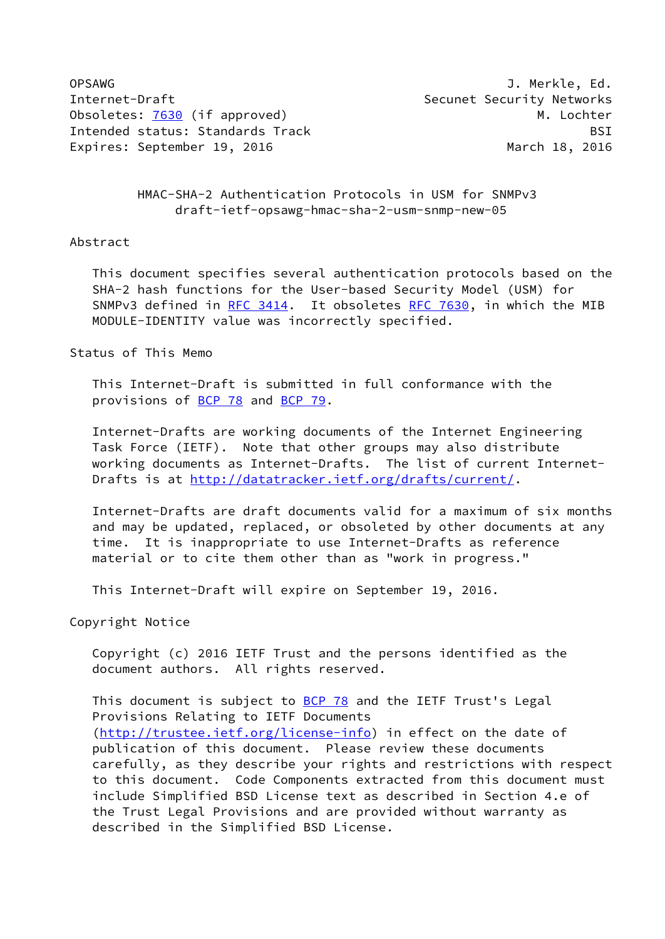OPSAWG J. Merkle, Ed. Internet-Draft Security Networks Obsoletes: [7630](https://datatracker.ietf.org/doc/pdf/rfc7630) (if approved) and the content of the M. Lochter Intended status: Standards Track BSI Expires: September 19, 2016 March 18, 2016

 HMAC-SHA-2 Authentication Protocols in USM for SNMPv3 draft-ietf-opsawg-hmac-sha-2-usm-snmp-new-05

### Abstract

 This document specifies several authentication protocols based on the SHA-2 hash functions for the User-based Security Model (USM) for SNMPv3 defined in [RFC 3414](https://datatracker.ietf.org/doc/pdf/rfc3414). It obsoletes [RFC 7630](https://datatracker.ietf.org/doc/pdf/rfc7630), in which the MIB MODULE-IDENTITY value was incorrectly specified.

Status of This Memo

 This Internet-Draft is submitted in full conformance with the provisions of [BCP 78](https://datatracker.ietf.org/doc/pdf/bcp78) and [BCP 79](https://datatracker.ietf.org/doc/pdf/bcp79).

 Internet-Drafts are working documents of the Internet Engineering Task Force (IETF). Note that other groups may also distribute working documents as Internet-Drafts. The list of current Internet- Drafts is at<http://datatracker.ietf.org/drafts/current/>.

 Internet-Drafts are draft documents valid for a maximum of six months and may be updated, replaced, or obsoleted by other documents at any time. It is inappropriate to use Internet-Drafts as reference material or to cite them other than as "work in progress."

This Internet-Draft will expire on September 19, 2016.

Copyright Notice

 Copyright (c) 2016 IETF Trust and the persons identified as the document authors. All rights reserved.

This document is subject to **[BCP 78](https://datatracker.ietf.org/doc/pdf/bcp78)** and the IETF Trust's Legal Provisions Relating to IETF Documents [\(http://trustee.ietf.org/license-info](http://trustee.ietf.org/license-info)) in effect on the date of publication of this document. Please review these documents carefully, as they describe your rights and restrictions with respect to this document. Code Components extracted from this document must include Simplified BSD License text as described in Section 4.e of the Trust Legal Provisions and are provided without warranty as described in the Simplified BSD License.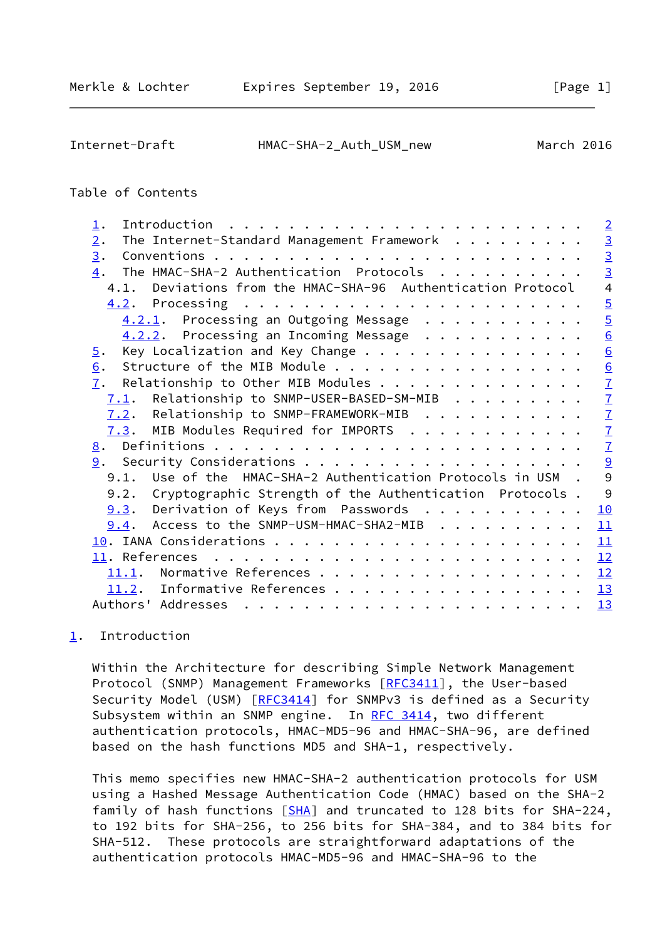<span id="page-1-1"></span>Internet-Draft HMAC-SHA-2\_Auth\_USM\_new March 2016

# Table of Contents

| $\perp$ .                                                                                                                                                                                                                                                                                                                                                                                                                                                                                                   | $\overline{2}$ |
|-------------------------------------------------------------------------------------------------------------------------------------------------------------------------------------------------------------------------------------------------------------------------------------------------------------------------------------------------------------------------------------------------------------------------------------------------------------------------------------------------------------|----------------|
| The Internet-Standard Management Framework<br>2.                                                                                                                                                                                                                                                                                                                                                                                                                                                            |                |
| 3.                                                                                                                                                                                                                                                                                                                                                                                                                                                                                                          | $\frac{3}{3}$  |
| The HMAC-SHA-2 Authentication Protocols<br>$\overline{4}$ .                                                                                                                                                                                                                                                                                                                                                                                                                                                 |                |
| 4.1. Deviations from the HMAC-SHA-96 Authentication Protocol                                                                                                                                                                                                                                                                                                                                                                                                                                                | $\overline{4}$ |
|                                                                                                                                                                                                                                                                                                                                                                                                                                                                                                             | $\overline{5}$ |
| $4.2.1$ . Processing an Outgoing Message                                                                                                                                                                                                                                                                                                                                                                                                                                                                    | $\overline{5}$ |
| $4.2.2$ . Processing an Incoming Message                                                                                                                                                                                                                                                                                                                                                                                                                                                                    | 6              |
| Key Localization and Key Change<br>$\overline{5}$ .                                                                                                                                                                                                                                                                                                                                                                                                                                                         | 6              |
| Structure of the MIB Module<br>6.                                                                                                                                                                                                                                                                                                                                                                                                                                                                           | $\overline{6}$ |
| Relationship to Other MIB Modules<br>7.                                                                                                                                                                                                                                                                                                                                                                                                                                                                     | $\overline{1}$ |
| $7.1$ . Relationship to SNMP-USER-BASED-SM-MIB                                                                                                                                                                                                                                                                                                                                                                                                                                                              | $\overline{1}$ |
| $7.2$ . Relationship to SNMP-FRAMEWORK-MIB                                                                                                                                                                                                                                                                                                                                                                                                                                                                  | $\overline{1}$ |
| $7.3$ . MIB Modules Required for IMPORTS                                                                                                                                                                                                                                                                                                                                                                                                                                                                    | $\overline{1}$ |
|                                                                                                                                                                                                                                                                                                                                                                                                                                                                                                             | $\overline{1}$ |
|                                                                                                                                                                                                                                                                                                                                                                                                                                                                                                             | $\overline{9}$ |
| 9.1. Use of the HMAC-SHA-2 Authentication Protocols in USM .                                                                                                                                                                                                                                                                                                                                                                                                                                                | 9              |
| Cryptographic Strength of the Authentication Protocols.<br>9.2.                                                                                                                                                                                                                                                                                                                                                                                                                                             | 9              |
| $9.3$ . Derivation of Keys from Passwords                                                                                                                                                                                                                                                                                                                                                                                                                                                                   | 10             |
| 9.4. Access to the SNMP-USM-HMAC-SHA2-MIB                                                                                                                                                                                                                                                                                                                                                                                                                                                                   | 11             |
|                                                                                                                                                                                                                                                                                                                                                                                                                                                                                                             | 11             |
|                                                                                                                                                                                                                                                                                                                                                                                                                                                                                                             | 12             |
| 11.1. Normative References                                                                                                                                                                                                                                                                                                                                                                                                                                                                                  | 12             |
| 11.2. Informative References                                                                                                                                                                                                                                                                                                                                                                                                                                                                                | 13             |
| Authors' Addresses<br>$\mathbf{a} \cdot \mathbf{a} \cdot \mathbf{a} \cdot \mathbf{a} \cdot \mathbf{a} \cdot \mathbf{a} \cdot \mathbf{a} \cdot \mathbf{a} \cdot \mathbf{a} \cdot \mathbf{a} \cdot \mathbf{a} \cdot \mathbf{a} \cdot \mathbf{a} \cdot \mathbf{a} \cdot \mathbf{a} \cdot \mathbf{a} \cdot \mathbf{a} \cdot \mathbf{a} \cdot \mathbf{a} \cdot \mathbf{a} \cdot \mathbf{a} \cdot \mathbf{a} \cdot \mathbf{a} \cdot \mathbf{a} \cdot \mathbf{a} \cdot \mathbf{a} \cdot \mathbf{a} \cdot \mathbf{$ | <u>13</u>      |

# <span id="page-1-0"></span>[1](#page-1-0). Introduction

 Within the Architecture for describing Simple Network Management Protocol (SNMP) Management Frameworks [[RFC3411](https://datatracker.ietf.org/doc/pdf/rfc3411)], the User-based Security Model (USM) [\[RFC3414](https://datatracker.ietf.org/doc/pdf/rfc3414)] for SNMPv3 is defined as a Security Subsystem within an SNMP engine. In [RFC 3414](https://datatracker.ietf.org/doc/pdf/rfc3414), two different authentication protocols, HMAC-MD5-96 and HMAC-SHA-96, are defined based on the hash functions MD5 and SHA-1, respectively.

 This memo specifies new HMAC-SHA-2 authentication protocols for USM using a Hashed Message Authentication Code (HMAC) based on the SHA-2 family of hash functions [\[SHA](#page-13-2)] and truncated to 128 bits for SHA-224, to 192 bits for SHA-256, to 256 bits for SHA-384, and to 384 bits for SHA-512. These protocols are straightforward adaptations of the authentication protocols HMAC-MD5-96 and HMAC-SHA-96 to the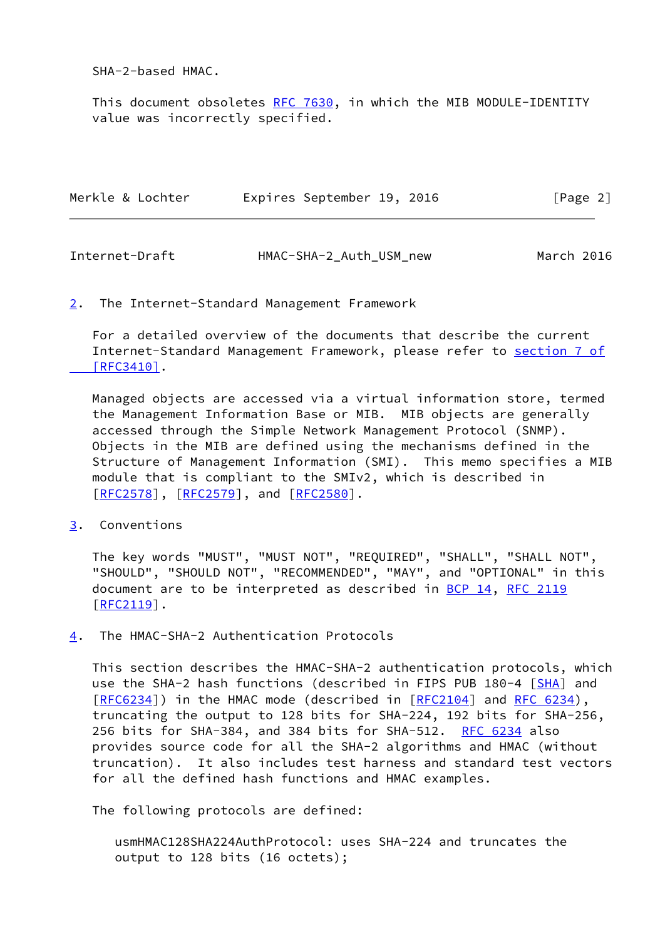SHA-2-based HMAC.

This document obsoletes [RFC 7630](https://datatracker.ietf.org/doc/pdf/rfc7630), in which the MIB MODULE-IDENTITY value was incorrectly specified.

| Merkle & Lochter | Expires September 19, 2016 |  | [Page 2] |  |
|------------------|----------------------------|--|----------|--|
|                  |                            |  |          |  |

<span id="page-2-1"></span>

| Internet-Draft | HMAC-SHA-2_Auth_USM_new | March 2016 |
|----------------|-------------------------|------------|
|----------------|-------------------------|------------|

# <span id="page-2-0"></span>[2](#page-2-0). The Internet-Standard Management Framework

 For a detailed overview of the documents that describe the current Internet-Standard Management Framework, please refer to [section](https://datatracker.ietf.org/doc/pdf/rfc3410#section-7) 7 of  $[RFC3410]$ .

 Managed objects are accessed via a virtual information store, termed the Management Information Base or MIB. MIB objects are generally accessed through the Simple Network Management Protocol (SNMP). Objects in the MIB are defined using the mechanisms defined in the Structure of Management Information (SMI). This memo specifies a MIB module that is compliant to the SMIv2, which is described in [\[RFC2578](https://datatracker.ietf.org/doc/pdf/rfc2578)], [[RFC2579\]](https://datatracker.ietf.org/doc/pdf/rfc2579), and [[RFC2580](https://datatracker.ietf.org/doc/pdf/rfc2580)].

<span id="page-2-2"></span>[3](#page-2-2). Conventions

 The key words "MUST", "MUST NOT", "REQUIRED", "SHALL", "SHALL NOT", "SHOULD", "SHOULD NOT", "RECOMMENDED", "MAY", and "OPTIONAL" in this document are to be interpreted as described in [BCP 14](https://datatracker.ietf.org/doc/pdf/bcp14), [RFC 2119](https://datatracker.ietf.org/doc/pdf/rfc2119) [\[RFC2119](https://datatracker.ietf.org/doc/pdf/rfc2119)].

<span id="page-2-3"></span>[4](#page-2-3). The HMAC-SHA-2 Authentication Protocols

 This section describes the HMAC-SHA-2 authentication protocols, which use the SHA-2 hash functions (described in FIPS PUB 180-4 [[SHA](#page-13-2)] and [\[RFC6234](https://datatracker.ietf.org/doc/pdf/rfc6234)]) in the HMAC mode (described in [[RFC2104](https://datatracker.ietf.org/doc/pdf/rfc2104)] and [RFC 6234](https://datatracker.ietf.org/doc/pdf/rfc6234)), truncating the output to 128 bits for SHA-224, 192 bits for SHA-256, 256 bits for SHA-384, and 384 bits for SHA-512. [RFC 6234](https://datatracker.ietf.org/doc/pdf/rfc6234) also provides source code for all the SHA-2 algorithms and HMAC (without truncation). It also includes test harness and standard test vectors for all the defined hash functions and HMAC examples.

The following protocols are defined:

 usmHMAC128SHA224AuthProtocol: uses SHA-224 and truncates the output to 128 bits (16 octets);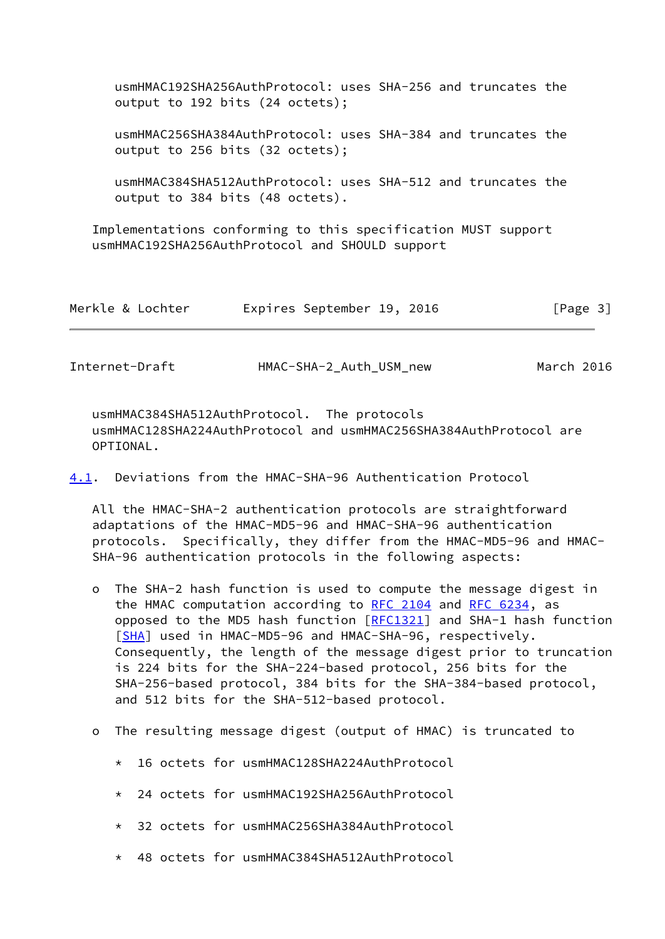| usmHMAC192SHA256AuthProtocol: uses SHA-256 and truncates the<br>output to 192 bits (24 octets);                  |
|------------------------------------------------------------------------------------------------------------------|
| usmHMAC256SHA384AuthProtocol: uses SHA-384 and truncates the<br>output to 256 bits (32 octets);                  |
| usmHMAC384SHA512AuthProtocol: uses SHA-512 and truncates the<br>output to 384 bits (48 octets).                  |
| Implementations conforming to this specification MUST support<br>usmHMAC192SHA256AuthProtocol and SHOULD support |

| Merkle & Lochter |  | Expires September 19, 2016 |  |  |  | [Page 3] |  |
|------------------|--|----------------------------|--|--|--|----------|--|
|------------------|--|----------------------------|--|--|--|----------|--|

| Internet-Draft | HMAC-SHA-2_Auth_USM_new | March 2016 |
|----------------|-------------------------|------------|
|                |                         |            |

 usmHMAC384SHA512AuthProtocol. The protocols usmHMAC128SHA224AuthProtocol and usmHMAC256SHA384AuthProtocol are OPTIONAL.

<span id="page-3-0"></span>[4.1](#page-3-0). Deviations from the HMAC-SHA-96 Authentication Protocol

 All the HMAC-SHA-2 authentication protocols are straightforward adaptations of the HMAC-MD5-96 and HMAC-SHA-96 authentication protocols. Specifically, they differ from the HMAC-MD5-96 and HMAC- SHA-96 authentication protocols in the following aspects:

- o The SHA-2 hash function is used to compute the message digest in the HMAC computation according to [RFC 2104](https://datatracker.ietf.org/doc/pdf/rfc2104) and [RFC 6234](https://datatracker.ietf.org/doc/pdf/rfc6234), as opposed to the MD5 hash function  $[REC1321]$  and SHA-1 hash function [[SHA\]](#page-13-2) used in HMAC-MD5-96 and HMAC-SHA-96, respectively. Consequently, the length of the message digest prior to truncation is 224 bits for the SHA-224-based protocol, 256 bits for the SHA-256-based protocol, 384 bits for the SHA-384-based protocol, and 512 bits for the SHA-512-based protocol.
- o The resulting message digest (output of HMAC) is truncated to
	- \* 16 octets for usmHMAC128SHA224AuthProtocol
	- \* 24 octets for usmHMAC192SHA256AuthProtocol
	- \* 32 octets for usmHMAC256SHA384AuthProtocol
	- \* 48 octets for usmHMAC384SHA512AuthProtocol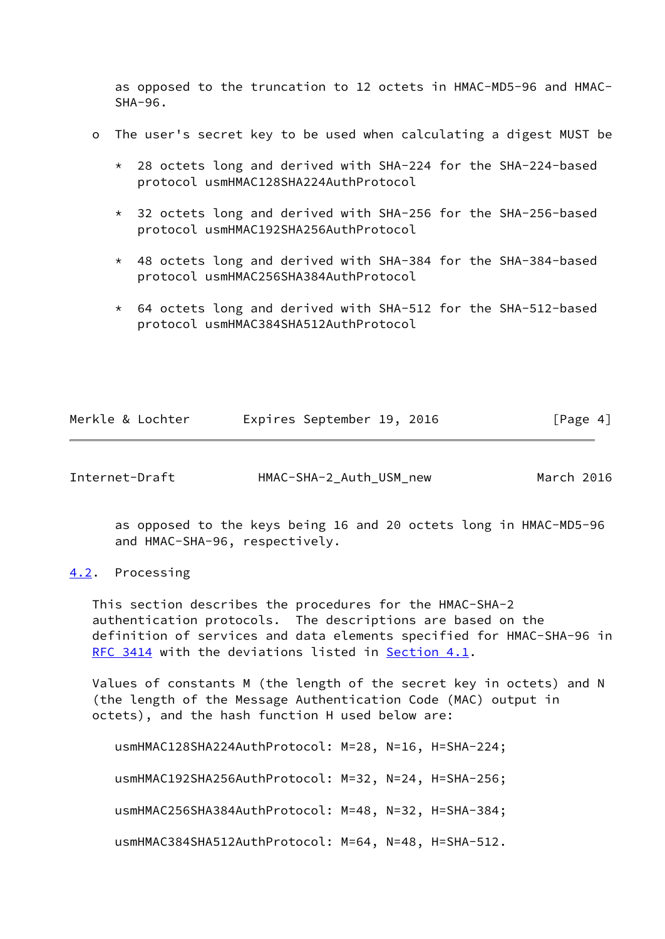as opposed to the truncation to 12 octets in HMAC-MD5-96 and HMAC- SHA-96.

- o The user's secret key to be used when calculating a digest MUST be
	- \* 28 octets long and derived with SHA-224 for the SHA-224-based protocol usmHMAC128SHA224AuthProtocol
	- \* 32 octets long and derived with SHA-256 for the SHA-256-based protocol usmHMAC192SHA256AuthProtocol
	- \* 48 octets long and derived with SHA-384 for the SHA-384-based protocol usmHMAC256SHA384AuthProtocol
	- \* 64 octets long and derived with SHA-512 for the SHA-512-based protocol usmHMAC384SHA512AuthProtocol

| Merkle & Lochter |  | Expires September 19, 2016 |  |  | [Page 4] |  |
|------------------|--|----------------------------|--|--|----------|--|
|------------------|--|----------------------------|--|--|----------|--|

<span id="page-4-1"></span>Internet-Draft HMAC-SHA-2\_Auth\_USM\_new March 2016

 as opposed to the keys being 16 and 20 octets long in HMAC-MD5-96 and HMAC-SHA-96, respectively.

### <span id="page-4-0"></span>[4.2](#page-4-0). Processing

 This section describes the procedures for the HMAC-SHA-2 authentication protocols. The descriptions are based on the definition of services and data elements specified for HMAC-SHA-96 in [RFC 3414](https://datatracker.ietf.org/doc/pdf/rfc3414) with the deviations listed in [Section 4.1](#page-3-0).

 Values of constants M (the length of the secret key in octets) and N (the length of the Message Authentication Code (MAC) output in octets), and the hash function H used below are:

```
 usmHMAC128SHA224AuthProtocol: M=28, N=16, H=SHA-224;
usmHMAC192SHA256AuthProtocol: M=32, N=24, H=SHA-256;
usmHMAC256SHA384AuthProtocol: M=48, N=32, H=SHA-384;
usmHMAC384SHA512AuthProtocol: M=64, N=48, H=SHA-512.
```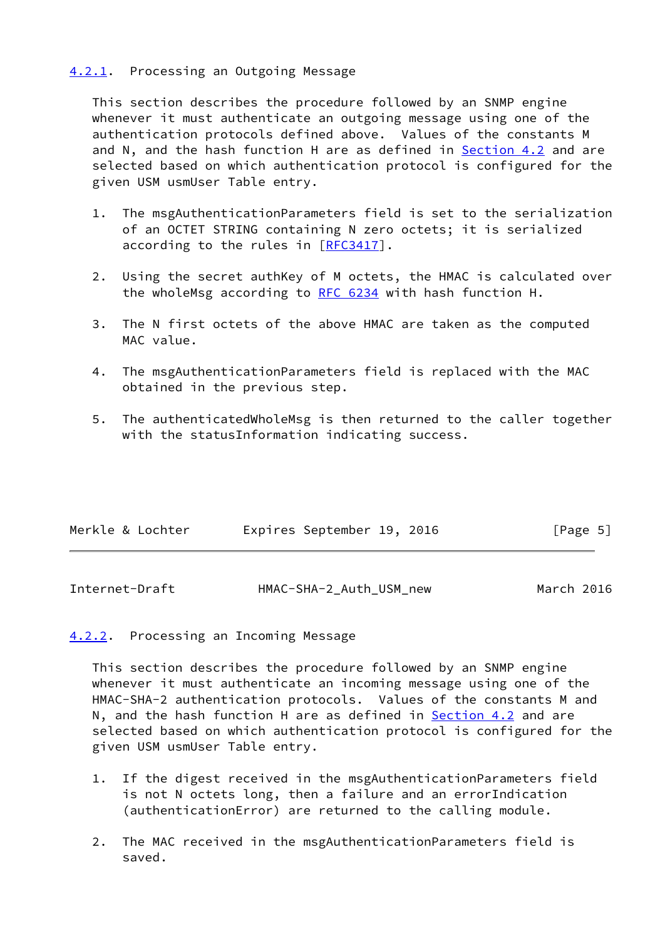# <span id="page-5-0"></span>[4.2.1](#page-5-0). Processing an Outgoing Message

 This section describes the procedure followed by an SNMP engine whenever it must authenticate an outgoing message using one of the authentication protocols defined above. Values of the constants M and N, and the hash function H are as defined in **Section 4.2** and are selected based on which authentication protocol is configured for the given USM usmUser Table entry.

- 1. The msgAuthenticationParameters field is set to the serialization of an OCTET STRING containing N zero octets; it is serialized according to the rules in [[RFC3417](https://datatracker.ietf.org/doc/pdf/rfc3417)].
- 2. Using the secret authKey of M octets, the HMAC is calculated over the wholeMsg according to [RFC 6234](https://datatracker.ietf.org/doc/pdf/rfc6234) with hash function H.
- 3. The N first octets of the above HMAC are taken as the computed MAC value.
- 4. The msgAuthenticationParameters field is replaced with the MAC obtained in the previous step.
- 5. The authenticatedWholeMsg is then returned to the caller together with the statusInformation indicating success.

| Merkle & Lochter | Expires September 19, 2016 |  | [Page 5] |  |
|------------------|----------------------------|--|----------|--|
|                  |                            |  |          |  |

<span id="page-5-2"></span>

| Internet-Draft | HMAC-SHA-2_Auth_USM_new | March 2016 |  |
|----------------|-------------------------|------------|--|
|----------------|-------------------------|------------|--|

# <span id="page-5-1"></span>[4.2.2](#page-5-1). Processing an Incoming Message

 This section describes the procedure followed by an SNMP engine whenever it must authenticate an incoming message using one of the HMAC-SHA-2 authentication protocols. Values of the constants M and N, and the hash function H are as defined in **Section 4.2** and are selected based on which authentication protocol is configured for the given USM usmUser Table entry.

- 1. If the digest received in the msgAuthenticationParameters field is not N octets long, then a failure and an errorIndication (authenticationError) are returned to the calling module.
- 2. The MAC received in the msgAuthenticationParameters field is saved.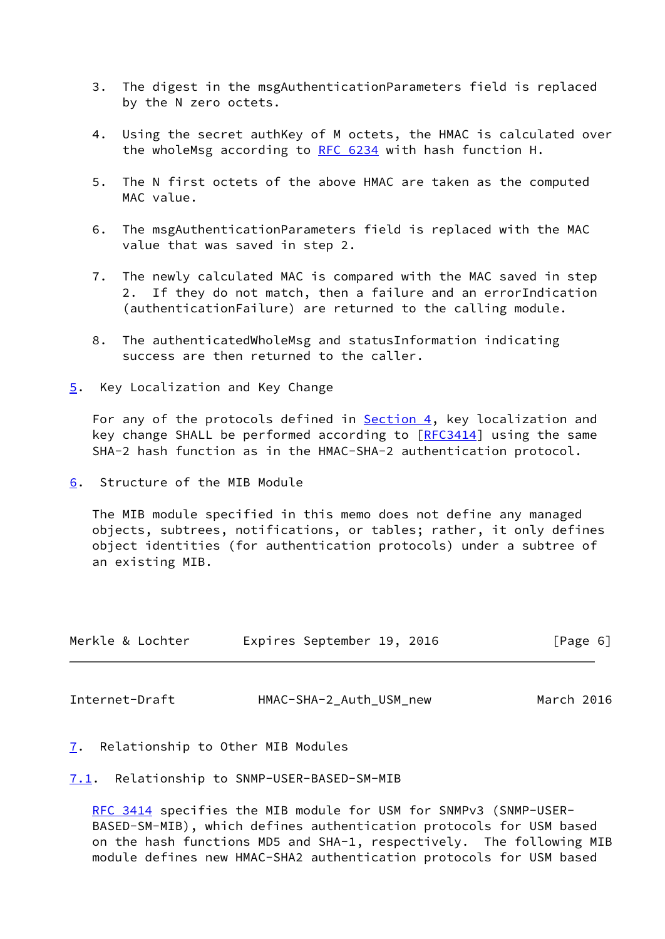- 3. The digest in the msgAuthenticationParameters field is replaced by the N zero octets.
- 4. Using the secret authKey of M octets, the HMAC is calculated over the wholeMsg according to [RFC 6234](https://datatracker.ietf.org/doc/pdf/rfc6234) with hash function H.
- 5. The N first octets of the above HMAC are taken as the computed MAC value.
- 6. The msgAuthenticationParameters field is replaced with the MAC value that was saved in step 2.
- 7. The newly calculated MAC is compared with the MAC saved in step 2. If they do not match, then a failure and an errorIndication (authenticationFailure) are returned to the calling module.
- 8. The authenticatedWholeMsg and statusInformation indicating success are then returned to the caller.
- <span id="page-6-0"></span>[5](#page-6-0). Key Localization and Key Change

For any of the protocols defined in [Section 4,](#page-2-3) key localization and key change SHALL be performed according to  $[REC3414]$  using the same SHA-2 hash function as in the HMAC-SHA-2 authentication protocol.

<span id="page-6-1"></span>[6](#page-6-1). Structure of the MIB Module

 The MIB module specified in this memo does not define any managed objects, subtrees, notifications, or tables; rather, it only defines object identities (for authentication protocols) under a subtree of an existing MIB.

| Merkle & Lochter | Expires September 19, 2016 |  | [Page 6] |  |
|------------------|----------------------------|--|----------|--|
|                  |                            |  |          |  |

<span id="page-6-3"></span>Internet-Draft HMAC-SHA-2\_Auth\_USM\_new March 2016

<span id="page-6-2"></span>[7](#page-6-2). Relationship to Other MIB Modules

<span id="page-6-4"></span>[7.1](#page-6-4). Relationship to SNMP-USER-BASED-SM-MIB

 [RFC 3414](https://datatracker.ietf.org/doc/pdf/rfc3414) specifies the MIB module for USM for SNMPv3 (SNMP-USER- BASED-SM-MIB), which defines authentication protocols for USM based on the hash functions MD5 and SHA-1, respectively. The following MIB module defines new HMAC-SHA2 authentication protocols for USM based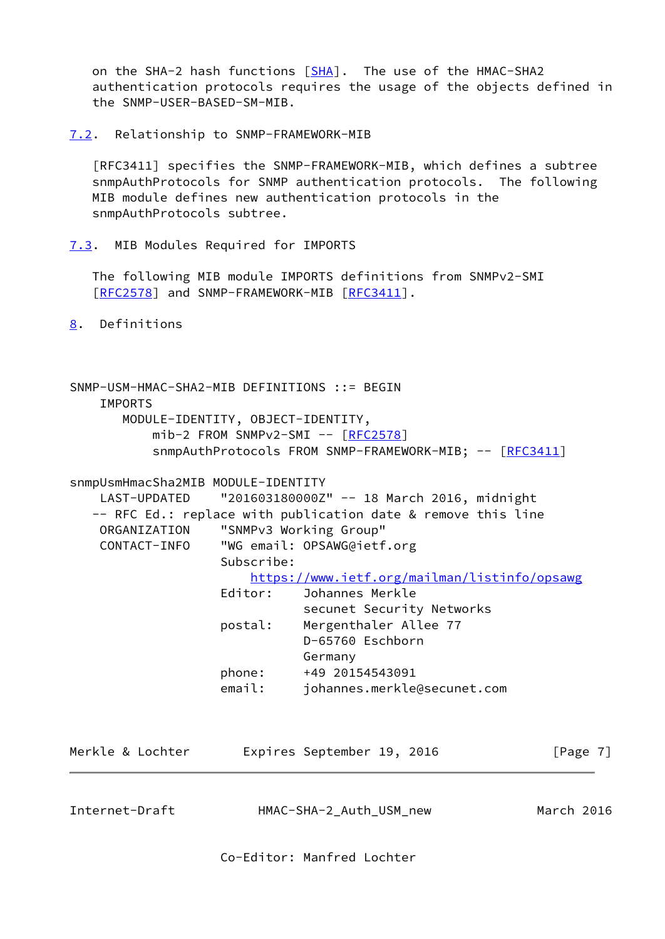on the SHA-2 hash functions [\[SHA](#page-13-2)]. The use of the HMAC-SHA2 authentication protocols requires the usage of the objects defined in the SNMP-USER-BASED-SM-MIB.

<span id="page-7-0"></span>[7.2](#page-7-0). Relationship to SNMP-FRAMEWORK-MIB

 [RFC3411] specifies the SNMP-FRAMEWORK-MIB, which defines a subtree snmpAuthProtocols for SNMP authentication protocols. The following MIB module defines new authentication protocols in the snmpAuthProtocols subtree.

<span id="page-7-1"></span>[7.3](#page-7-1). MIB Modules Required for IMPORTS

 The following MIB module IMPORTS definitions from SNMPv2-SMI [\[RFC2578](https://datatracker.ietf.org/doc/pdf/rfc2578)] and SNMP-FRAMEWORK-MIB [\[RFC3411](https://datatracker.ietf.org/doc/pdf/rfc3411)].

<span id="page-7-2"></span>[8](#page-7-2). Definitions

SNMP-USM-HMAC-SHA2-MIB DEFINITIONS ::= BEGIN IMPORTS MODULE-IDENTITY, OBJECT-IDENTITY,  $mib-2$  FROM SNMP $v2-SMI$  --  $[REC2578]$ snmpAuthProtocols FROM SNMP-FRAMEWORK-MIB; -- [[RFC3411](https://datatracker.ietf.org/doc/pdf/rfc3411)]

snmpUsmHmacSha2MIB MODULE-IDENTITY

LAST-UPDATED "201603180000Z" -- 18 March 2016, midnight -- RFC Ed.: replace with publication date & remove this line ORGANIZATION "SNMPv3 Working Group" CONTACT-INFO "WG email: OPSAWG@ietf.org Subscribe: <https://www.ietf.org/mailman/listinfo/opsawg> Editor: Johannes Merkle secunet Security Networks postal: Mergenthaler Allee 77 D-65760 Eschborn Germany phone: +49 20154543091 email: johannes.merkle@secunet.com Merkle & Lochter **Expires September 19, 2016** [Page 7]

Internet-Draft HMAC-SHA-2\_Auth\_USM\_new March 2016

Co-Editor: Manfred Lochter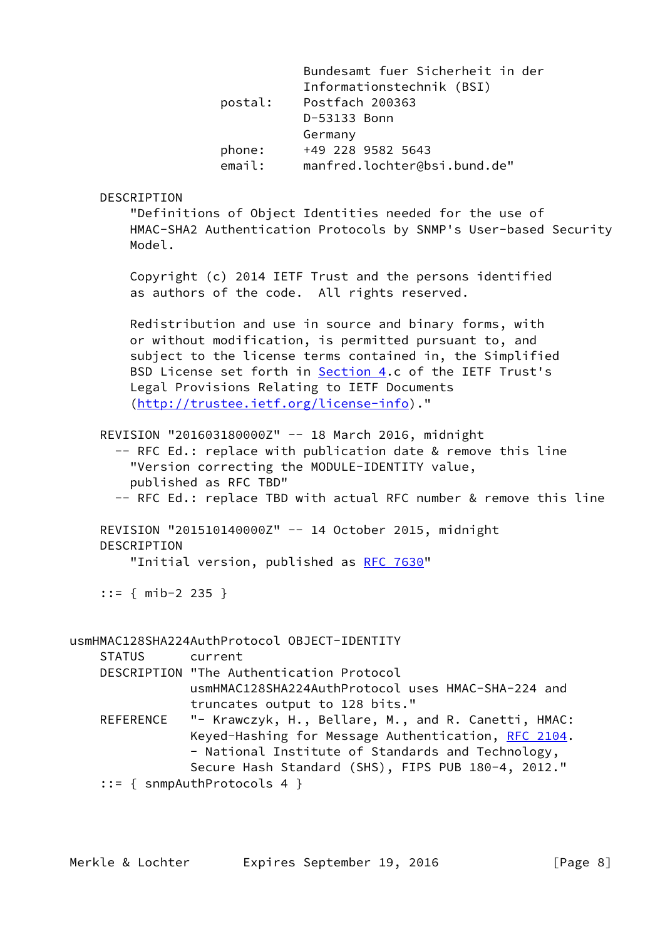|               | postal:                                                 | Bundesamt fuer Sicherheit in der<br>Informationstechnik (BSI)<br>Postfach 200363<br>D-53133 Bonn<br>Germany                                                                                                                                                                                                                           |
|---------------|---------------------------------------------------------|---------------------------------------------------------------------------------------------------------------------------------------------------------------------------------------------------------------------------------------------------------------------------------------------------------------------------------------|
|               | phone:<br>email:                                        | +49 228 9582 5643<br>manfred.lochter@bsi.bund.de"                                                                                                                                                                                                                                                                                     |
| DESCRIPTION   |                                                         |                                                                                                                                                                                                                                                                                                                                       |
| Model.        |                                                         | "Definitions of Object Identities needed for the use of<br>HMAC-SHA2 Authentication Protocols by SNMP's User-based Security                                                                                                                                                                                                           |
|               |                                                         | Copyright (c) 2014 IETF Trust and the persons identified<br>as authors of the code. All rights reserved.                                                                                                                                                                                                                              |
|               |                                                         | Redistribution and use in source and binary forms, with<br>or without modification, is permitted pursuant to, and<br>subject to the license terms contained in, the Simplified<br>BSD License set forth in Section 4.c of the IETF Trust's<br>Legal Provisions Relating to IETF Documents<br>(http://trustee.ietf.org/license-info)." |
|               | published as RFC TBD"                                   | REVISION "201603180000Z" -- 18 March 2016, midnight<br>-- RFC Ed.: replace with publication date & remove this line<br>"Version correcting the MODULE-IDENTITY value,<br>-- RFC Ed.: replace TBD with actual RFC number & remove this line                                                                                            |
| DESCRIPTION   |                                                         | REVISION "201510140000Z" -- 14 October 2015, midnight                                                                                                                                                                                                                                                                                 |
|               |                                                         | "Initial version, published as RFC 7630"                                                                                                                                                                                                                                                                                              |
|               | $::=$ { mib-2 235 }                                     |                                                                                                                                                                                                                                                                                                                                       |
| <b>STATUS</b> | usmHMAC128SHA224AuthProtocol OBJECT-IDENTITY<br>current |                                                                                                                                                                                                                                                                                                                                       |
|               | DESCRIPTION "The Authentication Protocol                | usmHMAC128SHA224AuthProtocol uses HMAC-SHA-224 and                                                                                                                                                                                                                                                                                    |
| REFERENCE     |                                                         | truncates output to 128 bits."<br>"- Krawczyk, H., Bellare, M., and R. Canetti, HMAC:<br>Keyed-Hashing for Message Authentication, RFC 2104.<br>- National Institute of Standards and Technology,<br>Secure Hash Standard (SHS), FIPS PUB 180-4, 2012."                                                                               |

::= { snmpAuthProtocols 4 }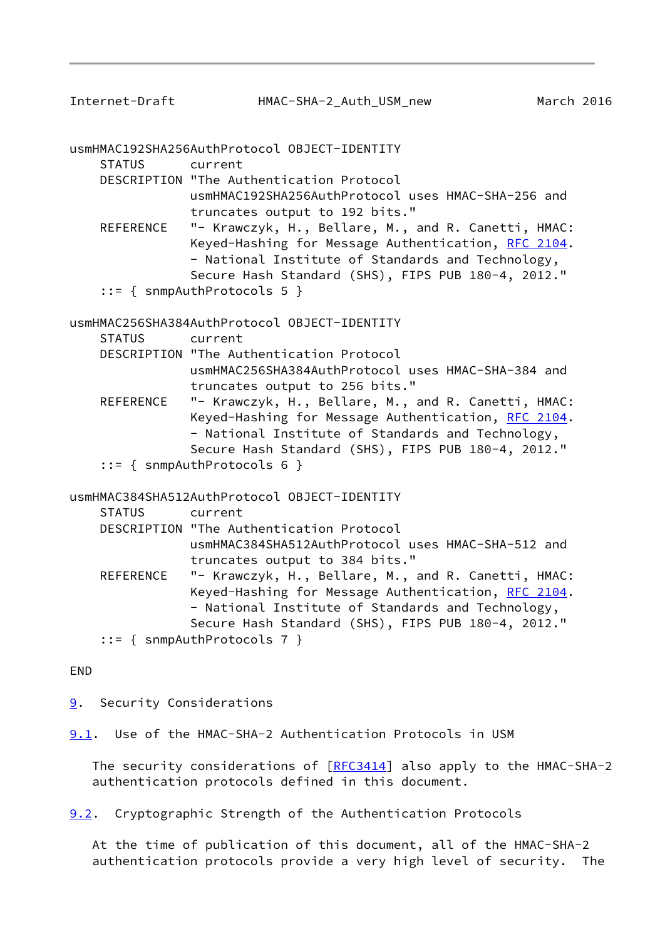<span id="page-9-1"></span>

usmHMAC192SHA256AuthProtocol OBJECT-IDENTITY

STATUS current

 DESCRIPTION "The Authentication Protocol usmHMAC192SHA256AuthProtocol uses HMAC-SHA-256 and truncates output to 192 bits."

- REFERENCE "- Krawczyk, H., Bellare, M., and R. Canetti, HMAC: Keyed-Hashing for Message Authentication, [RFC 2104.](https://datatracker.ietf.org/doc/pdf/rfc2104) - National Institute of Standards and Technology, Secure Hash Standard (SHS), FIPS PUB 180-4, 2012."
- ::= { snmpAuthProtocols 5 }

usmHMAC256SHA384AuthProtocol OBJECT-IDENTITY

| <b>STATUS</b> | current |
|---------------|---------|
|---------------|---------|

- DESCRIPTION "The Authentication Protocol usmHMAC256SHA384AuthProtocol uses HMAC-SHA-384 and truncates output to 256 bits."
- REFERENCE "- Krawczyk, H., Bellare, M., and R. Canetti, HMAC: Keyed-Hashing for Message Authentication, [RFC 2104.](https://datatracker.ietf.org/doc/pdf/rfc2104) - National Institute of Standards and Technology, Secure Hash Standard (SHS), FIPS PUB 180-4, 2012."
- ::= { snmpAuthProtocols 6 }

usmHMAC384SHA512AuthProtocol OBJECT-IDENTITY

| STATUS    | current                                             |
|-----------|-----------------------------------------------------|
|           | DESCRIPTION "The Authentication Protocol            |
|           | usmHMAC384SHA512AuthProtocol uses HMAC-SHA-512 and  |
|           | truncates output to 384 bits."                      |
| REFERENCE | "- Krawczyk, H., Bellare, M., and R. Canetti, HMAC: |
|           | Keyed-Hashing for Message Authentication, RFC 2104. |
|           | - National Institute of Standards and Technology,   |
|           | Secure Hash Standard (SHS), FIPS PUB 180-4, 2012."  |
|           | $::=$ { snmpAuthProtocols 7 }                       |

END

<span id="page-9-0"></span>[9](#page-9-0). Security Considerations

<span id="page-9-2"></span>[9.1](#page-9-2). Use of the HMAC-SHA-2 Authentication Protocols in USM

 The security considerations of [\[RFC3414](https://datatracker.ietf.org/doc/pdf/rfc3414)] also apply to the HMAC-SHA-2 authentication protocols defined in this document.

<span id="page-9-3"></span>[9.2](#page-9-3). Cryptographic Strength of the Authentication Protocols

 At the time of publication of this document, all of the HMAC-SHA-2 authentication protocols provide a very high level of security. The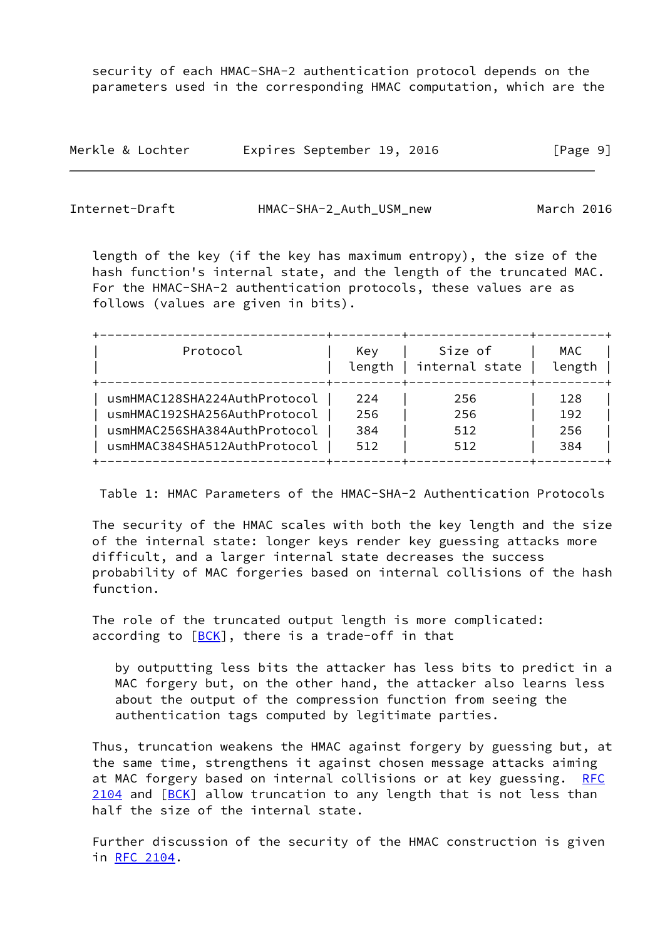security of each HMAC-SHA-2 authentication protocol depends on the parameters used in the corresponding HMAC computation, which are the

| Merkle & Lochter | Expires September 19, 2016 |  | [Page 9] |
|------------------|----------------------------|--|----------|
|------------------|----------------------------|--|----------|

<span id="page-10-0"></span>

| Internet-Draft | HMAC-SHA-2_Auth_USM_new | March 2016 |
|----------------|-------------------------|------------|
|                |                         |            |

 length of the key (if the key has maximum entropy), the size of the hash function's internal state, and the length of the truncated MAC. For the HMAC-SHA-2 authentication protocols, these values are as follows (values are given in bits).

| Key<br>length | Size of<br>internal state | MAC<br>length |
|---------------|---------------------------|---------------|
| 224           | 256                       | 128           |
| 256           | 256                       | 192           |
| 384           | 512                       | 256           |
| 512           | 512                       | 384           |
|               |                           |               |

Table 1: HMAC Parameters of the HMAC-SHA-2 Authentication Protocols

 The security of the HMAC scales with both the key length and the size of the internal state: longer keys render key guessing attacks more difficult, and a larger internal state decreases the success probability of MAC forgeries based on internal collisions of the hash function.

 The role of the truncated output length is more complicated: according to  $[BCK]$  $[BCK]$ , there is a trade-off in that

 by outputting less bits the attacker has less bits to predict in a MAC forgery but, on the other hand, the attacker also learns less about the output of the compression function from seeing the authentication tags computed by legitimate parties.

 Thus, truncation weakens the HMAC against forgery by guessing but, at the same time, strengthens it against chosen message attacks aiming at MAC forgery based on internal collisions or at key guessing. [RFC](https://datatracker.ietf.org/doc/pdf/rfc2104) [2104](https://datatracker.ietf.org/doc/pdf/rfc2104) and  $[BCK]$  allow truncation to any length that is not less than half the size of the internal state.

 Further discussion of the security of the HMAC construction is given in [RFC 2104.](https://datatracker.ietf.org/doc/pdf/rfc2104)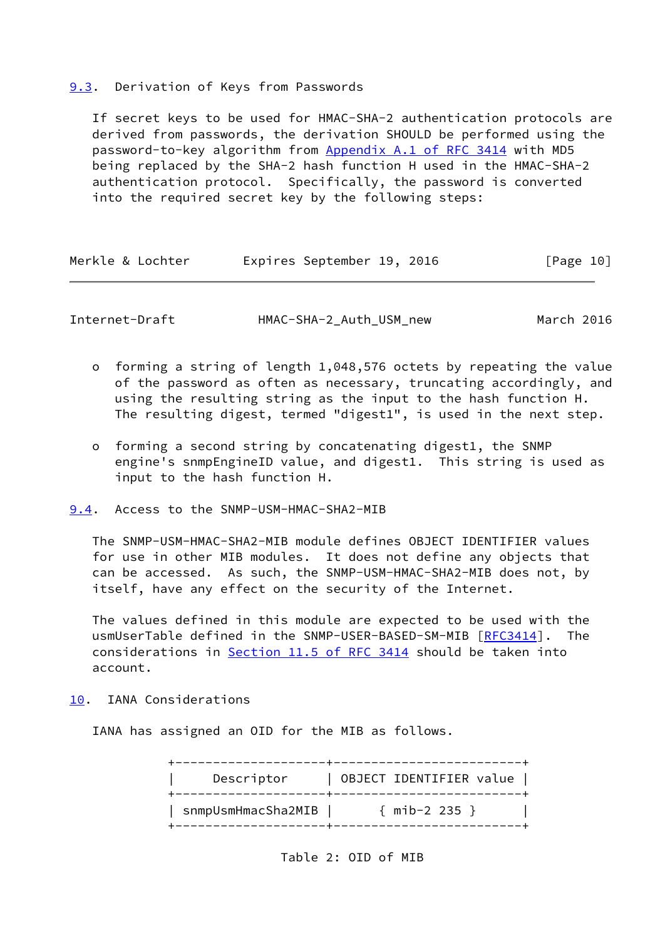#### <span id="page-11-0"></span>[9.3](#page-11-0). Derivation of Keys from Passwords

 If secret keys to be used for HMAC-SHA-2 authentication protocols are derived from passwords, the derivation SHOULD be performed using the password-to-key algorithm from Appendix [A.1 of RFC 3414](https://datatracker.ietf.org/doc/pdf/rfc3414#appendix-A.1) with MD5 being replaced by the SHA-2 hash function H used in the HMAC-SHA-2 authentication protocol. Specifically, the password is converted into the required secret key by the following steps:

| Merkle & Lochter |  | Expires September 19, 2016 |  | [Page 10] |  |
|------------------|--|----------------------------|--|-----------|--|
|------------------|--|----------------------------|--|-----------|--|

<span id="page-11-2"></span>Internet-Draft HMAC-SHA-2\_Auth\_USM\_new March 2016

- o forming a string of length 1,048,576 octets by repeating the value of the password as often as necessary, truncating accordingly, and using the resulting string as the input to the hash function H. The resulting digest, termed "digest1", is used in the next step.
- o forming a second string by concatenating digest1, the SNMP engine's snmpEngineID value, and digest1. This string is used as input to the hash function H.

<span id="page-11-1"></span>[9.4](#page-11-1). Access to the SNMP-USM-HMAC-SHA2-MIB

 The SNMP-USM-HMAC-SHA2-MIB module defines OBJECT IDENTIFIER values for use in other MIB modules. It does not define any objects that can be accessed. As such, the SNMP-USM-HMAC-SHA2-MIB does not, by itself, have any effect on the security of the Internet.

 The values defined in this module are expected to be used with the usmUserTable defined in the SNMP-USER-BASED-SM-MIB [[RFC3414\]](https://datatracker.ietf.org/doc/pdf/rfc3414). The considerations in Section [11.5 of RFC 3414](https://datatracker.ietf.org/doc/pdf/rfc3414#section-11.5) should be taken into account.

<span id="page-11-3"></span>[10.](#page-11-3) IANA Considerations

IANA has assigned an OID for the MIB as follows.

| Descriptor         | OBJECT IDENTIFIER value |
|--------------------|-------------------------|
| snmpUsmHmacSha2MIB | $\{$ mib-2 235 $\}$     |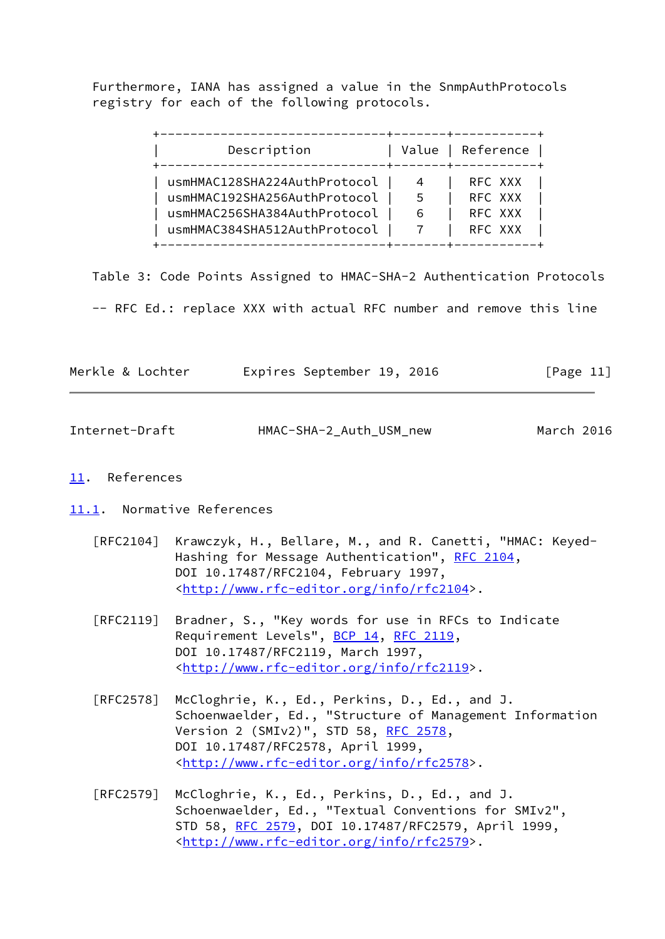Furthermore, IANA has assigned a value in the SnmpAuthProtocols registry for each of the following protocols.

| Description                  |    | Value   Reference |
|------------------------------|----|-------------------|
| usmHMAC128SHA224AuthProtocol |    | RFC XXX           |
| usmHMAC192SHA256AuthProtocol | 5. | RFC XXX           |
| usmHMAC256SHA384AuthProtocol | 6  | RFC XXX           |
| usmHMAC384SHA512AuthProtocol |    | RFC XXX           |

 Table 3: Code Points Assigned to HMAC-SHA-2 Authentication Protocols -- RFC Ed.: replace XXX with actual RFC number and remove this line

| Merkle & Lochter | Expires September 19, 2016 |  | [Page 11] |
|------------------|----------------------------|--|-----------|

<span id="page-12-1"></span>

| Internet-Draft | HMAC-SHA-2_Auth_USM_new | March 2016 |  |
|----------------|-------------------------|------------|--|
|                |                         |            |  |

# <span id="page-12-0"></span>[11.](#page-12-0) References

<span id="page-12-2"></span>[11.1](#page-12-2). Normative References

- [RFC2104] Krawczyk, H., Bellare, M., and R. Canetti, "HMAC: Keyed- Hashing for Message Authentication", [RFC 2104](https://datatracker.ietf.org/doc/pdf/rfc2104), DOI 10.17487/RFC2104, February 1997, <<http://www.rfc-editor.org/info/rfc2104>>.
- [RFC2119] Bradner, S., "Key words for use in RFCs to Indicate Requirement Levels", [BCP 14](https://datatracker.ietf.org/doc/pdf/bcp14), [RFC 2119](https://datatracker.ietf.org/doc/pdf/rfc2119), DOI 10.17487/RFC2119, March 1997, <<http://www.rfc-editor.org/info/rfc2119>>.
- [RFC2578] McCloghrie, K., Ed., Perkins, D., Ed., and J. Schoenwaelder, Ed., "Structure of Management Information Version 2 (SMIv2)", STD 58, [RFC 2578,](https://datatracker.ietf.org/doc/pdf/rfc2578) DOI 10.17487/RFC2578, April 1999, <<http://www.rfc-editor.org/info/rfc2578>>.
- [RFC2579] McCloghrie, K., Ed., Perkins, D., Ed., and J. Schoenwaelder, Ed., "Textual Conventions for SMIv2", STD 58, [RFC 2579,](https://datatracker.ietf.org/doc/pdf/rfc2579) DOI 10.17487/RFC2579, April 1999, <<http://www.rfc-editor.org/info/rfc2579>>.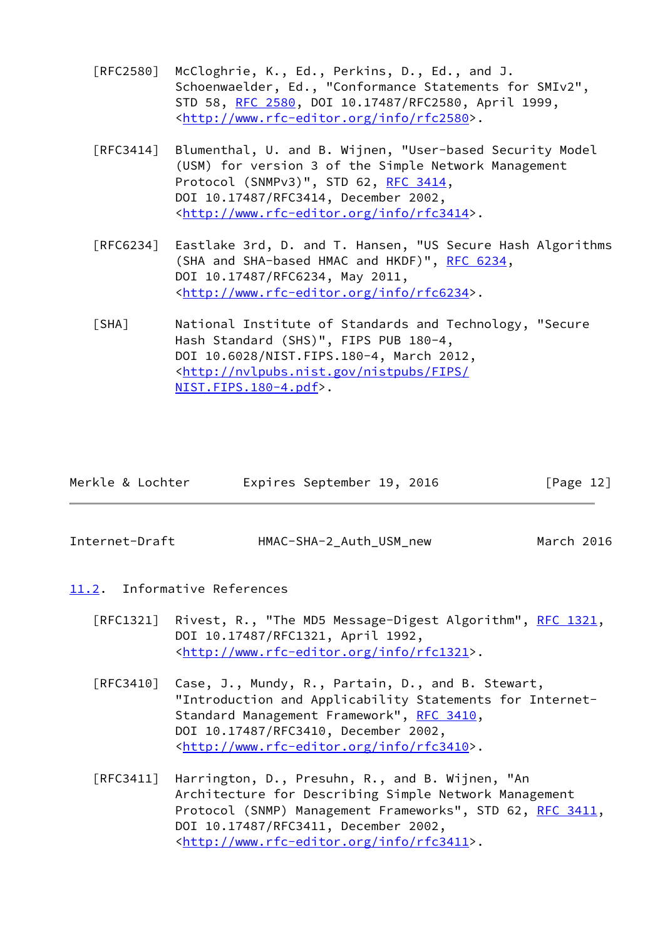- [RFC2580] McCloghrie, K., Ed., Perkins, D., Ed., and J. Schoenwaelder, Ed., "Conformance Statements for SMIv2", STD 58, [RFC 2580,](https://datatracker.ietf.org/doc/pdf/rfc2580) DOI 10.17487/RFC2580, April 1999, <<http://www.rfc-editor.org/info/rfc2580>>.
- [RFC3414] Blumenthal, U. and B. Wijnen, "User-based Security Model (USM) for version 3 of the Simple Network Management Protocol (SNMPv3)", STD 62, [RFC 3414,](https://datatracker.ietf.org/doc/pdf/rfc3414) DOI 10.17487/RFC3414, December 2002, <<http://www.rfc-editor.org/info/rfc3414>>.
- [RFC6234] Eastlake 3rd, D. and T. Hansen, "US Secure Hash Algorithms (SHA and SHA-based HMAC and HKDF)", [RFC 6234,](https://datatracker.ietf.org/doc/pdf/rfc6234) DOI 10.17487/RFC6234, May 2011, <<http://www.rfc-editor.org/info/rfc6234>>.
- <span id="page-13-2"></span> [SHA] National Institute of Standards and Technology, "Secure Hash Standard (SHS)", FIPS PUB 180-4, DOI 10.6028/NIST.FIPS.180-4, March 2012, <[http://nvlpubs.nist.gov/nistpubs/FIPS/](http://nvlpubs.nist.gov/nistpubs/FIPS/NIST.FIPS.180-4.pdf) [NIST.FIPS.180-4.pdf](http://nvlpubs.nist.gov/nistpubs/FIPS/NIST.FIPS.180-4.pdf)>.

| Merkle & Lochter | Expires September 19, 2016 |  | [Page 12] |  |
|------------------|----------------------------|--|-----------|--|
|                  |                            |  |           |  |

<span id="page-13-1"></span>Internet-Draft HMAC-SHA-2\_Auth\_USM\_new March 2016

- <span id="page-13-0"></span>[11.2](#page-13-0). Informative References
	- [RFC1321] Rivest, R., "The MD5 Message-Digest Algorithm", [RFC 1321,](https://datatracker.ietf.org/doc/pdf/rfc1321) DOI 10.17487/RFC1321, April 1992, <<http://www.rfc-editor.org/info/rfc1321>>.
	- [RFC3410] Case, J., Mundy, R., Partain, D., and B. Stewart, "Introduction and Applicability Statements for Internet- Standard Management Framework", [RFC 3410,](https://datatracker.ietf.org/doc/pdf/rfc3410) DOI 10.17487/RFC3410, December 2002, <<http://www.rfc-editor.org/info/rfc3410>>.
	- [RFC3411] Harrington, D., Presuhn, R., and B. Wijnen, "An Architecture for Describing Simple Network Management Protocol (SNMP) Management Frameworks", STD 62, [RFC 3411,](https://datatracker.ietf.org/doc/pdf/rfc3411) DOI 10.17487/RFC3411, December 2002, <<http://www.rfc-editor.org/info/rfc3411>>.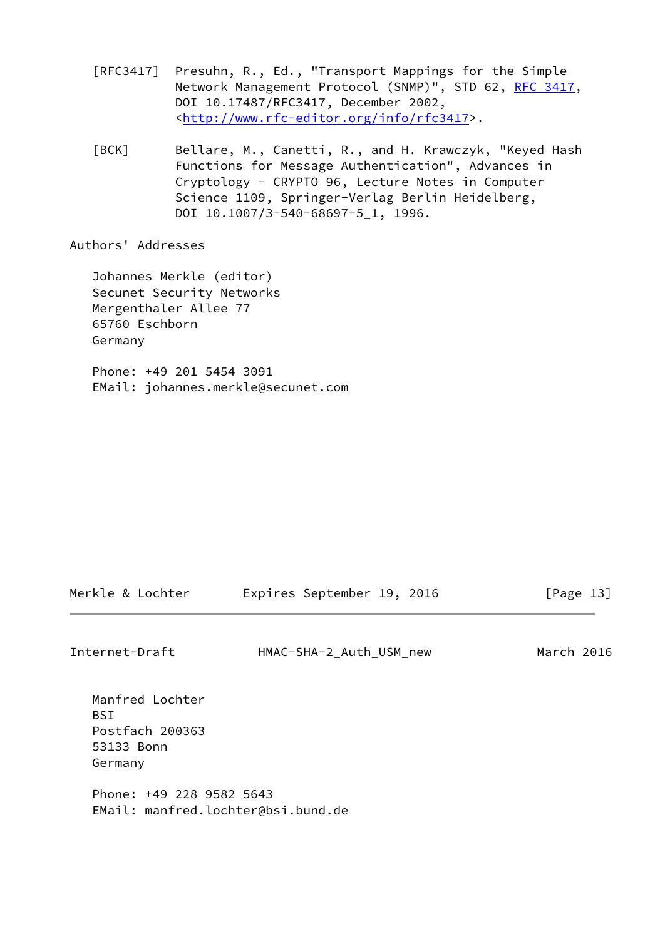- [RFC3417] Presuhn, R., Ed., "Transport Mappings for the Simple Network Management Protocol (SNMP)", STD 62, [RFC 3417](https://datatracker.ietf.org/doc/pdf/rfc3417), DOI 10.17487/RFC3417, December 2002, <<http://www.rfc-editor.org/info/rfc3417>>.
- <span id="page-14-0"></span> [BCK] Bellare, M., Canetti, R., and H. Krawczyk, "Keyed Hash Functions for Message Authentication", Advances in Cryptology - CRYPTO 96, Lecture Notes in Computer Science 1109, Springer-Verlag Berlin Heidelberg, DOI 10.1007/3-540-68697-5\_1, 1996.

Authors' Addresses

 Johannes Merkle (editor) Secunet Security Networks Mergenthaler Allee 77 65760 Eschborn Germany

 Phone: +49 201 5454 3091 EMail: johannes.merkle@secunet.com

| Merkle & Lochter | Expires September 19, 2016 |  | [Page 13] |  |
|------------------|----------------------------|--|-----------|--|
|                  |                            |  |           |  |

Internet-Draft HMAC-SHA-2\_Auth\_USM\_new March 2016

 Manfred Lochter BSI Postfach 200363 53133 Bonn Germany Phone: +49 228 9582 5643 EMail: manfred.lochter@bsi.bund.de